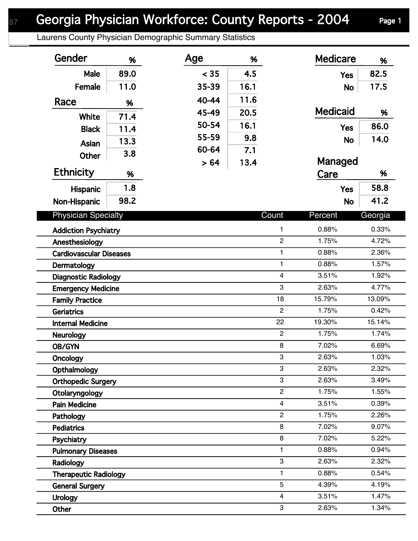## Georgia Physician Workforce: County Reports - 2004 Page 1

Laurens County Physician Demographic Summary Statistics

| Gender                                                 | %    | Age       | %              |                | <b>Medicare</b> | %      |
|--------------------------------------------------------|------|-----------|----------------|----------------|-----------------|--------|
| Male                                                   | 89.0 | < 35      | 4.5            |                | <b>Yes</b>      | 82.5   |
| Female                                                 | 11.0 | 35-39     | 16.1           |                | <b>No</b>       | 17.5   |
| Race                                                   | %    | $40 - 44$ | 11.6           |                |                 |        |
| White                                                  | 71.4 | 45-49     | 20.5           |                | <b>Medicaid</b> | %      |
| <b>Black</b>                                           |      | 50-54     | 16.1           |                | <b>Yes</b>      | 86.0   |
|                                                        | 11.4 | 55-59     | 9.8            |                | <b>No</b>       | 14.0   |
| Asian                                                  | 13.3 | 60-64     | 7.1            |                |                 |        |
| <b>Other</b>                                           | 3.8  | > 64      | 13.4           |                | Managed         |        |
| <b>Ethnicity</b>                                       | %    |           |                |                | Care            | %      |
| Hispanic                                               | 1.8  |           |                |                | <b>Yes</b>      | 58.8   |
| Non-Hispanic                                           | 98.2 |           |                |                | <b>No</b>       | 41.2   |
| <b>Physician Specialty</b>                             |      |           | Count          | Percent        | Georgia         |        |
| <b>Addiction Psychiatry</b>                            |      |           |                | $\mathbf{1}$   | 0.88%           | 0.33%  |
| Anesthesiology                                         |      |           | $\overline{c}$ | 1.75%          | 4.72%           |        |
| $\mathbf{1}$<br><b>Cardiovascular Diseases</b>         |      |           |                | 0.88%          | 2.36%           |        |
| $\mathbf{1}$<br>Dermatology                            |      |           |                | 0.88%          | 1.57%           |        |
| $\overline{\mathbf{4}}$<br><b>Diagnostic Radiology</b> |      |           |                | 3.51%          | 1.92%           |        |
| <b>Emergency Medicine</b>                              |      |           |                | 3              | 2.63%           | 4.77%  |
| <b>Family Practice</b>                                 |      |           |                | 18             | 15.79%          | 13.09% |
| <b>Geriatrics</b>                                      |      |           |                | $\mathbf{2}$   | 1.75%           | 0.42%  |
| <b>Internal Medicine</b>                               |      |           |                | 22             | 19.30%          | 15.14% |
| <b>Neurology</b>                                       |      |           |                | $\overline{2}$ | 1.75%           | 1.74%  |
| OB/GYN                                                 |      |           |                | 8              | 7.02%           | 6.69%  |
| Oncology                                               |      |           |                | 3              | 2.63%           | 1.03%  |
| Opthalmology                                           |      |           |                | 3              | 2.63%           | 2.32%  |
| 3<br><b>Orthopedic Surgery</b>                         |      |           | 2.63%          | 3.49%          |                 |        |
| $\overline{c}$<br>Otolaryngology                       |      |           |                | 1.75%          | 1.55%           |        |
| $\overline{4}$<br><b>Pain Medicine</b>                 |      |           |                | 3.51%          | 0.39%           |        |
| $\overline{c}$<br>Pathology                            |      |           |                | 1.75%          | 2.26%           |        |
| <b>Pediatrics</b>                                      |      |           |                | 8              | 7.02%           | 9.07%  |
| Psychiatry                                             |      |           |                | 8              | 7.02%           | 5.22%  |
| <b>Pulmonary Diseases</b>                              |      |           | 1              | 0.88%          | 0.94%           |        |
| Radiology                                              |      |           |                | 3              | 2.63%           | 2.32%  |
| <b>Therapeutic Radiology</b>                           |      |           |                | $\mathbf{1}$   | 0.88%           | 0.54%  |
| <b>General Surgery</b>                                 |      |           |                | 5              | 4.39%           | 4.19%  |
| <b>Urology</b>                                         |      |           | $\overline{4}$ | 3.51%          | 1.47%           |        |
| Other                                                  |      |           |                | 3              | 2.63%           | 1.34%  |